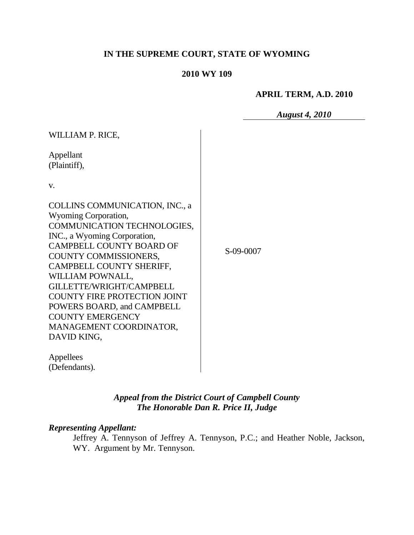# **IN THE SUPREME COURT, STATE OF WYOMING**

# **2010 WY 109**

### **APRIL TERM, A.D. 2010**

*August 4, 2010*

| WILLIAM P. RICE,                                                                                                                                                                                                                                                                                                                                                                                        |           |
|---------------------------------------------------------------------------------------------------------------------------------------------------------------------------------------------------------------------------------------------------------------------------------------------------------------------------------------------------------------------------------------------------------|-----------|
| Appellant<br>(Plaintiff),                                                                                                                                                                                                                                                                                                                                                                               |           |
| v.                                                                                                                                                                                                                                                                                                                                                                                                      |           |
| COLLINS COMMUNICATION, INC., a<br>Wyoming Corporation,<br>COMMUNICATION TECHNOLOGIES,<br>INC., a Wyoming Corporation,<br><b>CAMPBELL COUNTY BOARD OF</b><br>COUNTY COMMISSIONERS,<br>CAMPBELL COUNTY SHERIFF,<br>WILLIAM POWNALL,<br>GILLETTE/WRIGHT/CAMPBELL<br><b>COUNTY FIRE PROTECTION JOINT</b><br>POWERS BOARD, and CAMPBELL<br><b>COUNTY EMERGENCY</b><br>MANAGEMENT COORDINATOR,<br>DAVID KING, | S-09-0007 |
| Appellees<br>(Defendants).                                                                                                                                                                                                                                                                                                                                                                              |           |

*Appeal from the District Court of Campbell County The Honorable Dan R. Price II, Judge* 

#### *Representing Appellant:*

Jeffrey A. Tennyson of Jeffrey A. Tennyson, P.C.; and Heather Noble, Jackson, WY. Argument by Mr. Tennyson.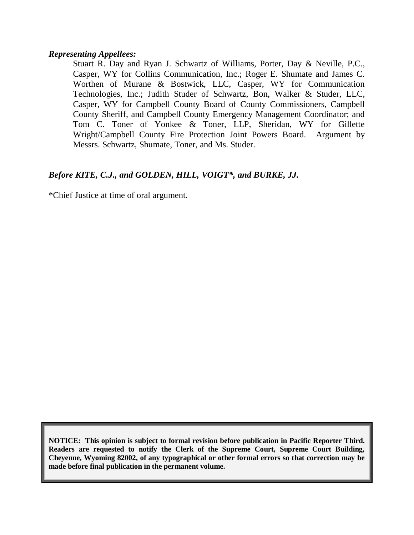#### *Representing Appellees:*

Stuart R. Day and Ryan J. Schwartz of Williams, Porter, Day & Neville, P.C., Casper, WY for Collins Communication, Inc.; Roger E. Shumate and James C. Worthen of Murane & Bostwick, LLC, Casper, WY for Communication Technologies, Inc.; Judith Studer of Schwartz, Bon, Walker & Studer, LLC, Casper, WY for Campbell County Board of County Commissioners, Campbell County Sheriff, and Campbell County Emergency Management Coordinator; and Tom C. Toner of Yonkee & Toner, LLP, Sheridan, WY for Gillette Wright/Campbell County Fire Protection Joint Powers Board. Argument by Messrs. Schwartz, Shumate, Toner, and Ms. Studer.

# *Before KITE, C.J., and GOLDEN, HILL, VOIGT\*, and BURKE, JJ.*

\*Chief Justice at time of oral argument.

**NOTICE: This opinion is subject to formal revision before publication in Pacific Reporter Third. Readers are requested to notify the Clerk of the Supreme Court, Supreme Court Building, Cheyenne, Wyoming 82002, of any typographical or other formal errors so that correction may be made before final publication in the permanent volume.**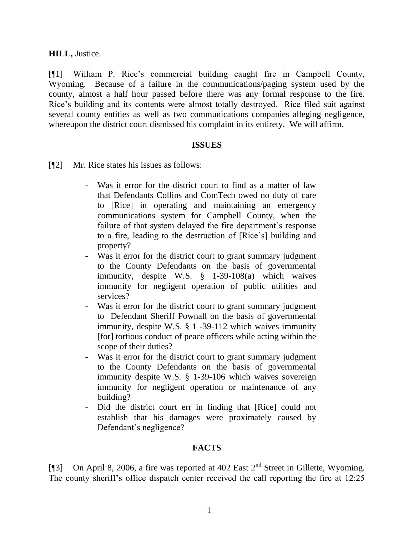**HILL,** Justice.

[¶1] William P. Rice's commercial building caught fire in Campbell County, Wyoming. Because of a failure in the communications/paging system used by the county, almost a half hour passed before there was any formal response to the fire. Rice"s building and its contents were almost totally destroyed. Rice filed suit against several county entities as well as two communications companies alleging negligence, whereupon the district court dismissed his complaint in its entirety. We will affirm.

### **ISSUES**

[¶2] Mr. Rice states his issues as follows:

- Was it error for the district court to find as a matter of law that Defendants Collins and ComTech owed no duty of care to [Rice] in operating and maintaining an emergency communications system for Campbell County, when the failure of that system delayed the fire department's response to a fire, leading to the destruction of [Rice"s] building and property?
- Was it error for the district court to grant summary judgment to the County Defendants on the basis of governmental immunity, despite W.S. § 1-39-108(a) which waives immunity for negligent operation of public utilities and services?
- Was it error for the district court to grant summary judgment to Defendant Sheriff Pownall on the basis of governmental immunity, despite W.S. § 1 -39-112 which waives immunity [for] tortious conduct of peace officers while acting within the scope of their duties?
- Was it error for the district court to grant summary judgment to the County Defendants on the basis of governmental immunity despite W.S. § 1-39-106 which waives sovereign immunity for negligent operation or maintenance of any building?
- Did the district court err in finding that [Rice] could not establish that his damages were proximately caused by Defendant's negligence?

# **FACTS**

[¶3] On April 8, 2006, a fire was reported at 402 East  $2<sup>nd</sup>$  Street in Gillette, Wyoming. The county sheriff"s office dispatch center received the call reporting the fire at 12:25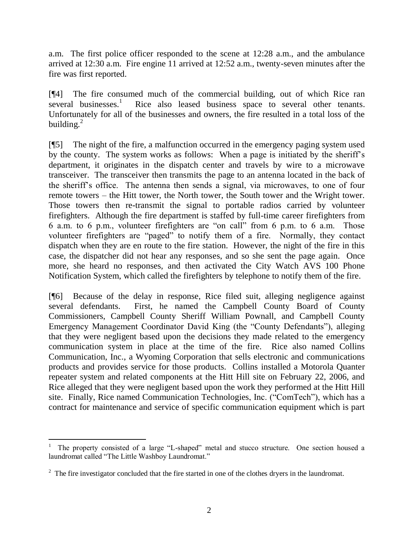a.m. The first police officer responded to the scene at 12:28 a.m., and the ambulance arrived at 12:30 a.m. Fire engine 11 arrived at 12:52 a.m., twenty-seven minutes after the fire was first reported.

[¶4] The fire consumed much of the commercial building, out of which Rice ran several businesses.<sup>1</sup> Rice also leased business space to several other tenants. Unfortunately for all of the businesses and owners, the fire resulted in a total loss of the building. $^{2}$ 

[¶5] The night of the fire, a malfunction occurred in the emergency paging system used by the county. The system works as follows: When a page is initiated by the sheriff"s department, it originates in the dispatch center and travels by wire to a microwave transceiver. The transceiver then transmits the page to an antenna located in the back of the sheriff"s office. The antenna then sends a signal, via microwaves, to one of four remote towers – the Hitt tower, the North tower, the South tower and the Wright tower. Those towers then re-transmit the signal to portable radios carried by volunteer firefighters. Although the fire department is staffed by full-time career firefighters from 6 a.m. to 6 p.m., volunteer firefighters are "on call" from 6 p.m. to 6 a.m. Those volunteer firefighters are "paged" to notify them of a fire. Normally, they contact dispatch when they are en route to the fire station. However, the night of the fire in this case, the dispatcher did not hear any responses, and so she sent the page again. Once more, she heard no responses, and then activated the City Watch AVS 100 Phone Notification System, which called the firefighters by telephone to notify them of the fire.

[¶6] Because of the delay in response, Rice filed suit, alleging negligence against several defendants. First, he named the Campbell County Board of County Commissioners, Campbell County Sheriff William Pownall, and Campbell County Emergency Management Coordinator David King (the "County Defendants"), alleging that they were negligent based upon the decisions they made related to the emergency communication system in place at the time of the fire. Rice also named Collins Communication, Inc., a Wyoming Corporation that sells electronic and communications products and provides service for those products. Collins installed a Motorola Quanter repeater system and related components at the Hitt Hill site on February 22, 2006, and Rice alleged that they were negligent based upon the work they performed at the Hitt Hill site. Finally, Rice named Communication Technologies, Inc. ("ComTech"), which has a contract for maintenance and service of specific communication equipment which is part

 $\overline{a}$ <sup>1</sup> The property consisted of a large "L-shaped" metal and stucco structure. One section housed a laundromat called "The Little Washboy Laundromat."

 $2\degree$  The fire investigator concluded that the fire started in one of the clothes dryers in the laundromat.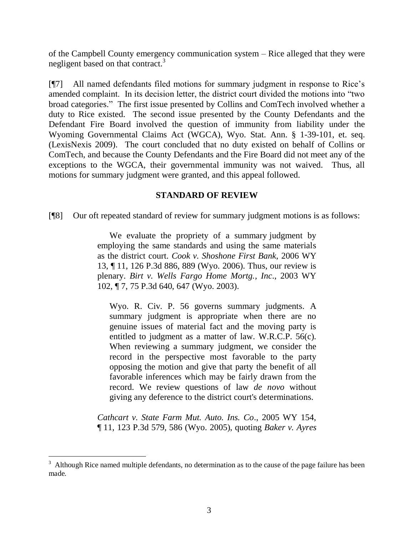of the Campbell County emergency communication system – Rice alleged that they were negligent based on that contract.<sup>3</sup>

[¶7] All named defendants filed motions for summary judgment in response to Rice"s amended complaint. In its decision letter, the district court divided the motions into "two broad categories." The first issue presented by Collins and ComTech involved whether a duty to Rice existed. The second issue presented by the County Defendants and the Defendant Fire Board involved the question of immunity from liability under the Wyoming Governmental Claims Act (WGCA), Wyo. Stat. Ann. § 1-39-101, et. seq. (LexisNexis 2009). The court concluded that no duty existed on behalf of Collins or ComTech, and because the County Defendants and the Fire Board did not meet any of the exceptions to the WGCA, their governmental immunity was not waived. Thus, all motions for summary judgment were granted, and this appeal followed.

### **STANDARD OF REVIEW**

[¶8] Our oft repeated standard of review for summary judgment motions is as follows:

We evaluate the propriety of a summary judgment by employing the same standards and using the same materials as the district court. *Cook v. Shoshone First Bank*, 2006 WY 13, ¶ 11, 126 P.3d 886, 889 (Wyo. 2006). Thus, our review is plenary. *Birt v. Wells Fargo Home Mortg., Inc*., 2003 WY 102, ¶ 7, 75 P.3d 640, 647 (Wyo. 2003).

Wyo. R. Civ. P. 56 governs summary judgments. A summary judgment is appropriate when there are no genuine issues of material fact and the moving party is entitled to judgment as a matter of law. W.R.C.P. 56(c). When reviewing a summary judgment, we consider the record in the perspective most favorable to the party opposing the motion and give that party the benefit of all favorable inferences which may be fairly drawn from the record. We review questions of law *de novo* without giving any deference to the district court's determinations.

*Cathcart v. State Farm Mut. Auto. Ins. Co*., 2005 WY 154, ¶ 11, 123 P.3d 579, 586 (Wyo. 2005), quoting *Baker v. Ayres* 

 $\overline{a}$ 

<sup>3</sup> Although Rice named multiple defendants, no determination as to the cause of the page failure has been made.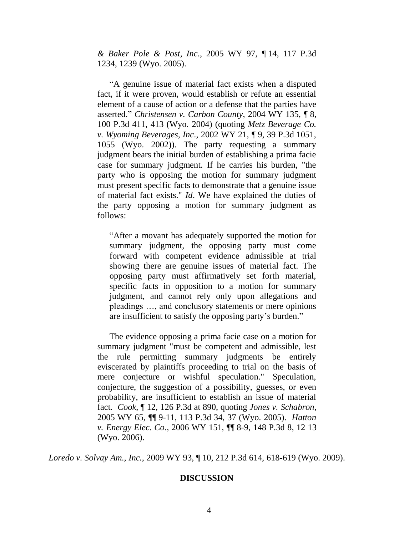*& Baker Pole & Post, Inc*., 2005 WY 97, ¶ 14, 117 P.3d 1234, 1239 (Wyo. 2005).

"A genuine issue of material fact exists when a disputed fact, if it were proven, would establish or refute an essential element of a cause of action or a defense that the parties have asserted." *Christensen v. Carbon County*, 2004 WY 135, ¶ 8, 100 P.3d 411, 413 (Wyo. 2004) (quoting *Metz Beverage Co. v. Wyoming Beverages, Inc*., 2002 WY 21, ¶ 9, 39 P.3d 1051, 1055 (Wyo. 2002)). The party requesting a summary judgment bears the initial burden of establishing a prima facie case for summary judgment. If he carries his burden, "the party who is opposing the motion for summary judgment must present specific facts to demonstrate that a genuine issue of material fact exists." *Id*. We have explained the duties of the party opposing a motion for summary judgment as follows:

"After a movant has adequately supported the motion for summary judgment, the opposing party must come forward with competent evidence admissible at trial showing there are genuine issues of material fact. The opposing party must affirmatively set forth material, specific facts in opposition to a motion for summary judgment, and cannot rely only upon allegations and pleadings …, and conclusory statements or mere opinions are insufficient to satisfy the opposing party"s burden."

The evidence opposing a prima facie case on a motion for summary judgment "must be competent and admissible, lest the rule permitting summary judgments be entirely eviscerated by plaintiffs proceeding to trial on the basis of mere conjecture or wishful speculation." Speculation, conjecture, the suggestion of a possibility, guesses, or even probability, are insufficient to establish an issue of material fact. *Cook*, ¶ 12, 126 P.3d at 890, quoting *Jones v. Schabron*, 2005 WY 65, ¶¶ 9-11, 113 P.3d 34, 37 (Wyo. 2005). *Hatton v. Energy Elec. Co*., 2006 WY 151, ¶¶ 8-9, 148 P.3d 8, 12 13 (Wyo. 2006).

*Loredo v. Solvay Am., Inc.*, 2009 WY 93, ¶ 10, 212 P.3d 614, 618-619 (Wyo. 2009).

#### **DISCUSSION**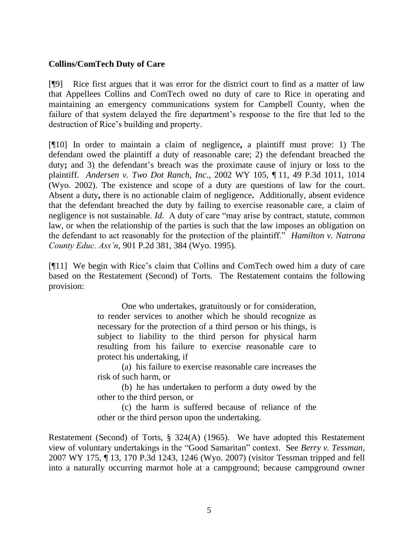## **Collins/ComTech Duty of Care**

[¶9] Rice first argues that it was error for the district court to find as a matter of law that Appellees Collins and ComTech owed no duty of care to Rice in operating and maintaining an emergency communications system for Campbell County, when the failure of that system delayed the fire department's response to the fire that led to the destruction of Rice"s building and property.

[¶10] In order to maintain a claim of negligence**,** a plaintiff must prove: 1) The defendant owed the plaintiff a duty of reasonable care; 2) the defendant breached the duty; and 3) the defendant's breach was the proximate cause of injury or loss to the plaintiff. *Andersen v. Two Dot Ranch, Inc*., 2002 WY 105, ¶ 11, 49 P.3d 1011, 1014 (Wyo. 2002). The existence and scope of a duty are questions of law for the court. Absent a duty**,** there is no actionable claim of negligence**.** Additionally, absent evidence that the defendant breached the duty by failing to exercise reasonable care, a claim of negligence is not sustainable. *Id*. A duty of care "may arise by contract, statute, common law, or when the relationship of the parties is such that the law imposes an obligation on the defendant to act reasonably for the protection of the plaintiff." *Hamilton v. Natrona County Educ. Ass'n*, 901 P.2d 381, 384 (Wyo. 1995).

[¶11] We begin with Rice"s claim that Collins and ComTech owed him a duty of care based on the Restatement (Second) of Torts. The Restatement contains the following provision:

> One who undertakes, gratuitously or for consideration, to render services to another which he should recognize as necessary for the protection of a third person or his things, is subject to liability to the third person for physical harm resulting from his failure to exercise reasonable care to protect his undertaking, if

> (a) his failure to exercise reasonable care increases the risk of such harm, or

> (b) he has undertaken to perform a duty owed by the other to the third person, or

> (c) the harm is suffered because of reliance of the other or the third person upon the undertaking.

Restatement (Second) of Torts, § 324(A) (1965). We have adopted this Restatement view of voluntary undertakings in the "Good Samaritan" context. See *Berry v. Tessman*, 2007 WY 175, ¶ 13, 170 P.3d 1243, 1246 (Wyo. 2007) (visitor Tessman tripped and fell into a naturally occurring marmot hole at a campground; because campground owner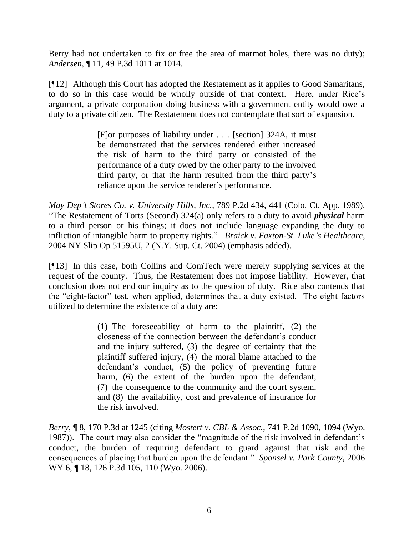Berry had not undertaken to fix or free the area of marmot holes, there was no duty); *Andersen*, ¶ 11, 49 P.3d 1011 at 1014.

[¶12] Although this Court has adopted the Restatement as it applies to Good Samaritans, to do so in this case would be wholly outside of that context. Here, under Rice"s argument, a private corporation doing business with a government entity would owe a duty to a private citizen. The Restatement does not contemplate that sort of expansion.

> [F]or purposes of liability under . . . [section] 324A, it must be demonstrated that the services rendered either increased the risk of harm to the third party or consisted of the performance of a duty owed by the other party to the involved third party, or that the harm resulted from the third party"s reliance upon the service renderer's performance.

*May Dep't Stores Co. v. University Hills, Inc.*, 789 P.2d 434, 441 (Colo. Ct. App. 1989). "The Restatement of Torts (Second) 324(a) only refers to a duty to avoid *physical* harm to a third person or his things; it does not include language expanding the duty to infliction of intangible harm to property rights." *[Braick v. Faxton-St. Luke's Healthcare](http://www.lexis.com/research/xlink?app=00075&view=full&searchtype=get&search=2004+NY+Slip+Op+51595U%2520at%25202)*, [2004 NY Slip Op 51595U, 2 \(N.Y. Sup. Ct. 2004\)](http://www.lexis.com/research/xlink?app=00075&view=full&searchtype=get&search=2004+NY+Slip+Op+51595U%2520at%25202) (emphasis added).

[¶13] In this case, both Collins and ComTech were merely supplying services at the request of the county. Thus, the Restatement does not impose liability. However, that conclusion does not end our inquiry as to the question of duty. Rice also contends that the "eight-factor" test, when applied, determines that a duty existed. The eight factors utilized to determine the existence of a duty are:

> (1) The foreseeability of harm to the plaintiff, (2) the closeness of the connection between the defendant"s conduct and the injury suffered, (3) the degree of certainty that the plaintiff suffered injury, (4) the moral blame attached to the defendant's conduct, (5) the policy of preventing future harm, (6) the extent of the burden upon the defendant, (7) the consequence to the community and the court system, and (8) the availability, cost and prevalence of insurance for the risk involved.

*Berry*, ¶ 8, 170 P.3d at 1245 (citing *Mostert v. CBL & Assoc.*, 741 P.2d 1090, 1094 (Wyo. 1987)). The court may also consider the "magnitude of the risk involved in defendant"s conduct, the burden of requiring defendant to guard against that risk and the consequences of placing that burden upon the defendant." *Sponsel v. Park County*, 2006 WY 6, ¶ 18, 126 P.3d 105, 110 (Wyo. 2006).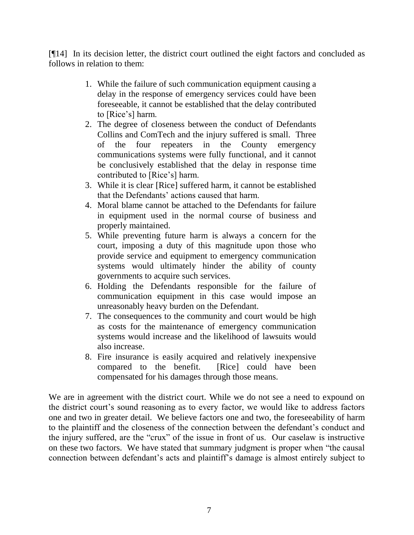[¶14] In its decision letter, the district court outlined the eight factors and concluded as follows in relation to them:

- 1. While the failure of such communication equipment causing a delay in the response of emergency services could have been foreseeable, it cannot be established that the delay contributed to [Rice's] harm.
- 2. The degree of closeness between the conduct of Defendants Collins and ComTech and the injury suffered is small. Three of the four repeaters in the County emergency communications systems were fully functional, and it cannot be conclusively established that the delay in response time contributed to [Rice"s] harm.
- 3. While it is clear [Rice] suffered harm, it cannot be established that the Defendants' actions caused that harm.
- 4. Moral blame cannot be attached to the Defendants for failure in equipment used in the normal course of business and properly maintained.
- 5. While preventing future harm is always a concern for the court, imposing a duty of this magnitude upon those who provide service and equipment to emergency communication systems would ultimately hinder the ability of county governments to acquire such services.
- 6. Holding the Defendants responsible for the failure of communication equipment in this case would impose an unreasonably heavy burden on the Defendant.
- 7. The consequences to the community and court would be high as costs for the maintenance of emergency communication systems would increase and the likelihood of lawsuits would also increase.
- 8. Fire insurance is easily acquired and relatively inexpensive compared to the benefit. [Rice] could have been compensated for his damages through those means.

We are in agreement with the district court. While we do not see a need to expound on the district court"s sound reasoning as to every factor, we would like to address factors one and two in greater detail. We believe factors one and two, the foreseeability of harm to the plaintiff and the closeness of the connection between the defendant"s conduct and the injury suffered, are the "crux" of the issue in front of us. Our caselaw is instructive on these two factors. We have stated that summary judgment is proper when "the causal connection between defendant"s acts and plaintiff"s damage is almost entirely subject to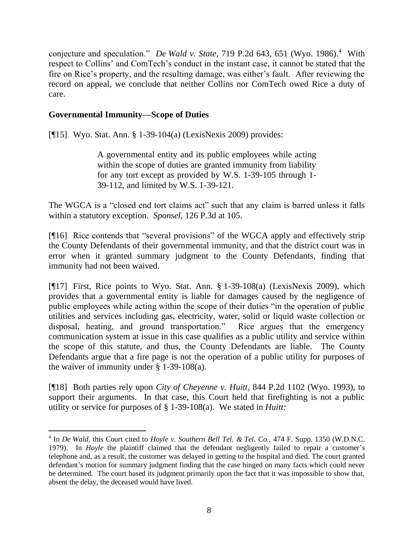conjecture and speculation." *De Wald v. State*, 719 P.2d 643, 651 (Wyo. 1986).<sup>4</sup> With respect to Collins' and ComTech's conduct in the instant case, it cannot be stated that the fire on Rice"s property, and the resulting damage, was either"s fault. After reviewing the record on appeal, we conclude that neither Collins nor ComTech owed Rice a duty of care.

# **Governmental Immunity—Scope of Duties**

 $\overline{a}$ 

[¶15] Wyo. Stat. Ann. § 1-39-104(a) (LexisNexis 2009) provides:

A governmental entity and its public employees while acting within the scope of duties are granted immunity from liability for any tort except as provided by W.S. 1-39-105 through 1- 39-112, and limited by W.S. 1-39-121.

The WGCA is a "closed end tort claims act" such that any claim is barred unless it falls within a statutory exception. *Sponsel*, 126 P.3d at 105.

[¶16] Rice contends that "several provisions" of the WGCA apply and effectively strip the County Defendants of their governmental immunity, and that the district court was in error when it granted summary judgment to the County Defendants, finding that immunity had not been waived.

[¶17] First, Rice points to Wyo. Stat. Ann. § 1-39-108(a) (LexisNexis 2009), which provides that a governmental entity is liable for damages caused by the negligence of public employees while acting within the scope of their duties "in the operation of public utilities and services including gas, electricity, water, solid or liquid waste collection or disposal, heating, and ground transportation." Rice argues that the emergency communication system at issue in this case qualifies as a public utility and service within the scope of this statute, and thus, the County Defendants are liable. The County Defendants argue that a fire page is not the operation of a public utility for purposes of the waiver of immunity under  $\S$  1-39-108(a).

[¶18] Both parties rely upon *City of Cheyenne v. Huitt,* 844 P.2d 1102 (Wyo. 1993), to support their arguments. In that case, this Court held that firefighting is not a public utility or service for purposes of § 1-39-108(a). We stated in *Huitt:*

<sup>4</sup> In *De Wald,* this Court cited to *Hoyle v. Southern Bell Tel. & Tel. Co.,* 474 F. Supp. 1350 (W.D.N.C. 1979). In *Hoyle* the plaintiff claimed that the defendant negligently failed to repair a customer's telephone and, as a result, the customer was delayed in getting to the hospital and died. The court granted defendant's motion for summary judgment finding that the case hinged on many facts which could never be determined. The court based its judgment primarily upon the fact that it was impossible to show that, absent the delay, the deceased would have lived.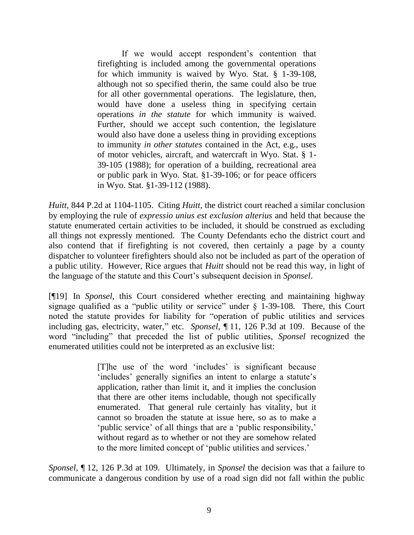If we would accept respondent's contention that firefighting is included among the governmental operations for which immunity is waived by Wyo. Stat. § 1-39-108, although not so specified therin, the same could also be true for all other governmental operations. The legislature, then, would have done a useless thing in specifying certain operations *in the statute* for which immunity is waived. Further, should we accept such contention, the legislature would also have done a useless thing in providing exceptions to immunity *in other statutes* contained in the Act, e.g., uses of motor vehicles, aircraft, and watercraft in Wyo. Stat. § 1- 39-105 (1988); for operation of a building, recreational area or public park in Wyo. Stat. §1-39-106; or for peace officers in Wyo. Stat. §1-39-112 (1988).

*Huitt,* 844 P.2d at 1104-1105. Citing *Huitt,* the district court reached a similar conclusion by employing the rule of *expressio unius est exclusion alterius* and held that because the statute enumerated certain activities to be included, it should be construed as excluding all things not expressly mentioned. The County Defendants echo the district court and also contend that if firefighting is not covered, then certainly a page by a county dispatcher to volunteer firefighters should also not be included as part of the operation of a public utility. However, Rice argues that *Huitt* should not be read this way, in light of the language of the statute and this Court"s subsequent decision in *Sponsel*.

[¶19] In *Sponsel,* this Court considered whether erecting and maintaining highway signage qualified as a "public utility or service" under § 1-39-108. There, this Court noted the statute provides for liability for "operation of public utilities and services including gas, electricity, water," etc. *Sponsel*, ¶ 11, 126 P.3d at 109. Because of the word "including" that preceded the list of public utilities, *Sponsel* recognized the enumerated utilities could not be interpreted as an exclusive list:

> [T]he use of the word "includes" is significant because 'includes' generally signifies an intent to enlarge a statute's application, rather than limit it, and it implies the conclusion that there are other items includable, though not specifically enumerated. That general rule certainly has vitality, but it cannot so broaden the statute at issue here, so as to make a "public service" of all things that are a "public responsibility," without regard as to whether or not they are somehow related to the more limited concept of "public utilities and services."

*Sponsel*, ¶ 12, 126 P.3d at 109. Ultimately, in *Sponsel* the decision was that a failure to communicate a dangerous condition by use of a road sign did not fall within the public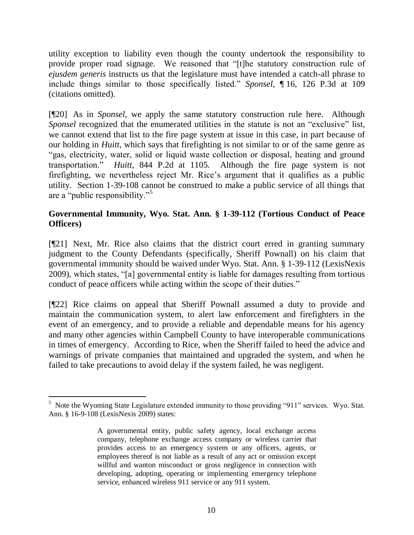utility exception to liability even though the county undertook the responsibility to provide proper road signage. We reasoned that "[t]he statutory construction rule of *ejusdem generis* instructs us that the legislature must have intended a catch-all phrase to include things similar to those specifically listed." *Sponsel*, ¶ 16, 126 P.3d at 109 (citations omitted).

[¶20] As in *Sponsel,* we apply the same statutory construction rule here. Although *Sponsel* recognized that the enumerated utilities in the statute is not an "exclusive" list, we cannot extend that list to the fire page system at issue in this case, in part because of our holding in *Huitt,* which says that firefighting is not similar to or of the same genre as "gas, electricity, water, solid or liquid waste collection or disposal, heating and ground transportation." *Huitt*, 844 P.2d at 1105*.* Although the fire page system is not firefighting, we nevertheless reject Mr. Rice"s argument that it qualifies as a public utility. Section 1-39-108 cannot be construed to make a public service of all things that are a "public responsibility."<sup>5</sup>

# **Governmental Immunity, Wyo. Stat. Ann. § 1-39-112 (Tortious Conduct of Peace Officers)**

[¶21] Next, Mr. Rice also claims that the district court erred in granting summary judgment to the County Defendants (specifically, Sheriff Pownall) on his claim that governmental immunity should be waived under Wyo. Stat. Ann. § 1-39-112 (LexisNexis 2009), which states, "[a] governmental entity is liable for damages resulting from tortious conduct of peace officers while acting within the scope of their duties."

[¶22] Rice claims on appeal that Sheriff Pownall assumed a duty to provide and maintain the communication system, to alert law enforcement and firefighters in the event of an emergency, and to provide a reliable and dependable means for his agency and many other agencies within Campbell County to have interoperable communications in times of emergency. According to Rice, when the Sheriff failed to heed the advice and warnings of private companies that maintained and upgraded the system, and when he failed to take precautions to avoid delay if the system failed, he was negligent.

<sup>&</sup>lt;sup>5</sup> Note the Wyoming State Legislature extended immunity to those providing "911" services. Wyo. Stat. Ann. § 16-9-108 (LexisNexis 2009) states:

A governmental entity, public safety agency, local exchange access company, telephone exchange access company or wireless carrier that provides access to an emergency system or any officers, agents, or employees thereof is not liable as a result of any act or omission except willful and wanton misconduct or gross negligence in connection with developing, adopting, operating or implementing emergency telephone service, enhanced wireless 911 service or any 911 system.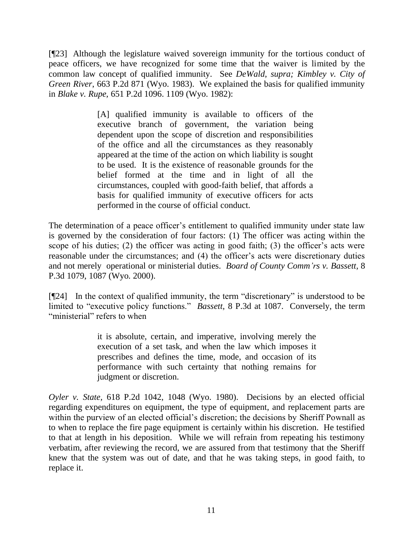[¶23] Although the legislature waived sovereign immunity for the tortious conduct of peace officers, we have recognized for some time that the waiver is limited by the common law concept of qualified immunity. See *DeWald*, *supra; Kimbley v. City of Green River*, 663 P.2d 871 (Wyo. 1983). We explained the basis for qualified immunity in *Blake v. Rupe,* 651 P.2d 1096. 1109 (Wyo. 1982):

> [A] qualified immunity is available to officers of the executive branch of government, the variation being dependent upon the scope of discretion and responsibilities of the office and all the circumstances as they reasonably appeared at the time of the action on which liability is sought to be used. It is the existence of reasonable grounds for the belief formed at the time and in light of all the circumstances, coupled with good-faith belief, that affords a basis for qualified immunity of executive officers for acts performed in the course of official conduct.

The determination of a peace officer's entitlement to qualified immunity under state law is governed by the consideration of four factors: (1) The officer was acting within the scope of his duties; (2) the officer was acting in good faith; (3) the officer's acts were reasonable under the circumstances; and (4) the officer's acts were discretionary duties and not merely operational or ministerial duties. *Board of County Comm'rs v. Bassett,* 8 P.3d 1079, 1087 (Wyo. 2000).

[¶24] In the context of qualified immunity, the term "discretionary" is understood to be limited to "executive policy functions." *Bassett*, 8 P.3d at 1087.Conversely, the term "ministerial" refers to when

> it is absolute, certain, and imperative, involving merely the execution of a set task, and when the law which imposes it prescribes and defines the time, mode, and occasion of its performance with such certainty that nothing remains for judgment or discretion.

*Oyler v. State,* 618 P.2d 1042, 1048 (Wyo. 1980). Decisions by an elected official regarding expenditures on equipment, the type of equipment, and replacement parts are within the purview of an elected official's discretion; the decisions by Sheriff Pownall as to when to replace the fire page equipment is certainly within his discretion. He testified to that at length in his deposition. While we will refrain from repeating his testimony verbatim, after reviewing the record, we are assured from that testimony that the Sheriff knew that the system was out of date, and that he was taking steps, in good faith, to replace it.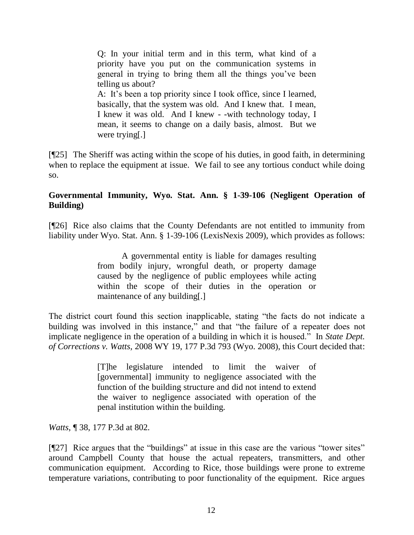Q: In your initial term and in this term, what kind of a priority have you put on the communication systems in general in trying to bring them all the things you"ve been telling us about? A: It's been a top priority since I took office, since I learned, basically, that the system was old. And I knew that. I mean, I knew it was old. And I knew - -with technology today, I mean, it seems to change on a daily basis, almost. But we were trying[.]

[¶25] The Sheriff was acting within the scope of his duties, in good faith, in determining when to replace the equipment at issue. We fail to see any tortious conduct while doing so.

# **Governmental Immunity, Wyo. Stat. Ann. § 1-39-106 (Negligent Operation of Building)**

[¶26] Rice also claims that the County Defendants are not entitled to immunity from liability under Wyo. Stat. Ann. § 1-39-106 (LexisNexis 2009), which provides as follows:

> A governmental entity is liable for damages resulting from bodily injury, wrongful death, or property damage caused by the negligence of public employees while acting within the scope of their duties in the operation or maintenance of any building[.]

The district court found this section inapplicable, stating "the facts do not indicate a building was involved in this instance," and that "the failure of a repeater does not implicate negligence in the operation of a building in which it is housed." In *State Dept. of Corrections v. Watts,* 2008 WY 19, 177 P.3d 793 (Wyo. 2008), this Court decided that:

> [T]he legislature intended to limit the waiver of [governmental] immunity to negligence associated with the function of the building structure and did not intend to extend the waiver to negligence associated with operation of the penal institution within the building.

*Watts,* ¶ 38, 177 P.3d at 802.

[¶27] Rice argues that the "buildings" at issue in this case are the various "tower sites" around Campbell County that house the actual repeaters, transmitters, and other communication equipment. According to Rice, those buildings were prone to extreme temperature variations, contributing to poor functionality of the equipment. Rice argues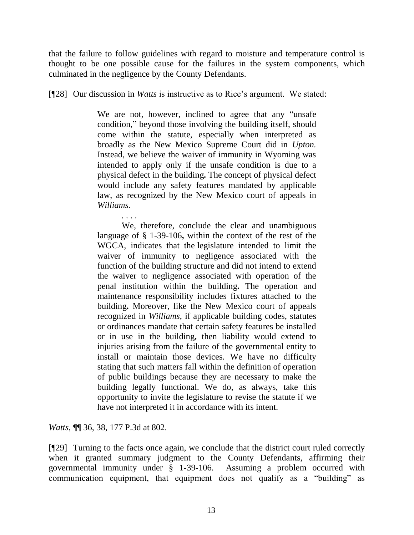that the failure to follow guidelines with regard to moisture and temperature control is thought to be one possible cause for the failures in the system components, which culminated in the negligence by the County Defendants.

[¶28] Our discussion in *Watts* is instructive as to Rice"s argument. We stated:

We are not, however, inclined to agree that any "unsafe condition," beyond those involving the building itself, should come within the statute, especially when interpreted as broadly as the New Mexico Supreme Court did in *Upton.* Instead, we believe the waiver of immunity in Wyoming was intended to apply only if the unsafe condition is due to a physical defect in the building**.** The concept of physical defect would include any safety features mandated by applicable law, as recognized by the New Mexico court of appeals in *Williams.*

We, therefore, conclude the clear and unambiguous language of § 1-39-106**,** within the context of the rest of the WGCA, indicates that the legislature intended to limit the waiver of immunity to negligence associated with the function of the building structure and did not intend to extend the waiver to negligence associated with operation of the penal institution within the building**.** The operation and maintenance responsibility includes fixtures attached to the building**.** Moreover, like the New Mexico court of appeals recognized in *Williams*, if applicable building codes, statutes or ordinances mandate that certain safety features be installed or in use in the building**,** then liability would extend to injuries arising from the failure of the governmental entity to install or maintain those devices. We have no difficulty stating that such matters fall within the definition of operation of public buildings because they are necessary to make the building legally functional. We do, as always, take this opportunity to invite the legislature to revise the statute if we have not interpreted it in accordance with its intent.

*Watts,* ¶¶ 36, 38, 177 P.3d at 802.

*. . . .*

[¶29] Turning to the facts once again, we conclude that the district court ruled correctly when it granted summary judgment to the County Defendants, affirming their governmental immunity under § 1-39-106. Assuming a problem occurred with communication equipment, that equipment does not qualify as a "building" as